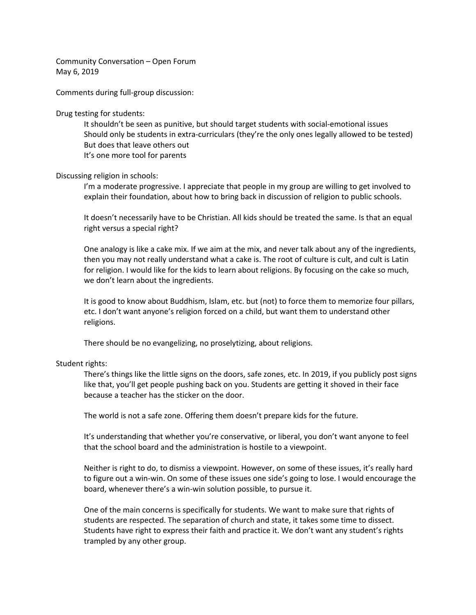Community Conversation – Open Forum May 6, 2019

Comments during full-group discussion:

Drug testing for students:

It shouldn't be seen as punitive, but should target students with social-emotional issues Should only be students in extra-curriculars (they're the only ones legally allowed to be tested) But does that leave others out It's one more tool for parents

Discussing religion in schools:

I'm a moderate progressive. I appreciate that people in my group are willing to get involved to explain their foundation, about how to bring back in discussion of religion to public schools.

It doesn't necessarily have to be Christian. All kids should be treated the same. Is that an equal right versus a special right?

One analogy is like a cake mix. If we aim at the mix, and never talk about any of the ingredients, then you may not really understand what a cake is. The root of culture is cult, and cult is Latin for religion. I would like for the kids to learn about religions. By focusing on the cake so much, we don't learn about the ingredients.

It is good to know about Buddhism, Islam, etc. but (not) to force them to memorize four pillars, etc. I don't want anyone's religion forced on a child, but want them to understand other religions.

There should be no evangelizing, no proselytizing, about religions.

## Student rights:

There's things like the little signs on the doors, safe zones, etc. In 2019, if you publicly post signs like that, you'll get people pushing back on you. Students are getting it shoved in their face because a teacher has the sticker on the door.

The world is not a safe zone. Offering them doesn't prepare kids for the future.

It's understanding that whether you're conservative, or liberal, you don't want anyone to feel that the school board and the administration is hostile to a viewpoint.

Neither is right to do, to dismiss a viewpoint. However, on some of these issues, it's really hard to figure out a win-win. On some of these issues one side's going to lose. I would encourage the board, whenever there's a win-win solution possible, to pursue it.

One of the main concerns is specifically for students. We want to make sure that rights of students are respected. The separation of church and state, it takes some time to dissect. Students have right to express their faith and practice it. We don't want any student's rights trampled by any other group.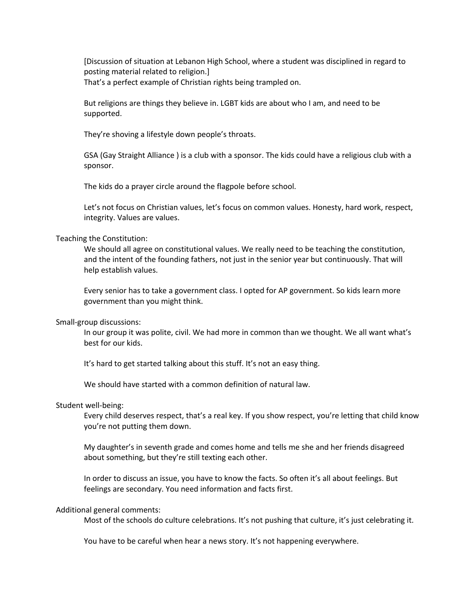[Discussion of situation at Lebanon High School, where a student was disciplined in regard to posting material related to religion.] That's a perfect example of Christian rights being trampled on.

But religions are things they believe in. LGBT kids are about who I am, and need to be supported.

They're shoving a lifestyle down people's throats.

GSA (Gay Straight Alliance ) is a club with a sponsor. The kids could have a religious club with a sponsor.

The kids do a prayer circle around the flagpole before school.

Let's not focus on Christian values, let's focus on common values. Honesty, hard work, respect, integrity. Values are values.

Teaching the Constitution:

We should all agree on constitutional values. We really need to be teaching the constitution, and the intent of the founding fathers, not just in the senior year but continuously. That will help establish values.

Every senior has to take a government class. I opted for AP government. So kids learn more government than you might think.

Small-group discussions:

In our group it was polite, civil. We had more in common than we thought. We all want what's best for our kids.

It's hard to get started talking about this stuff. It's not an easy thing.

We should have started with a common definition of natural law.

## Student well-being:

Every child deserves respect, that's a real key. If you show respect, you're letting that child know you're not putting them down.

My daughter's in seventh grade and comes home and tells me she and her friends disagreed about something, but they're still texting each other.

In order to discuss an issue, you have to know the facts. So often it's all about feelings. But feelings are secondary. You need information and facts first.

## Additional general comments:

Most of the schools do culture celebrations. It's not pushing that culture, it's just celebrating it.

You have to be careful when hear a news story. It's not happening everywhere.